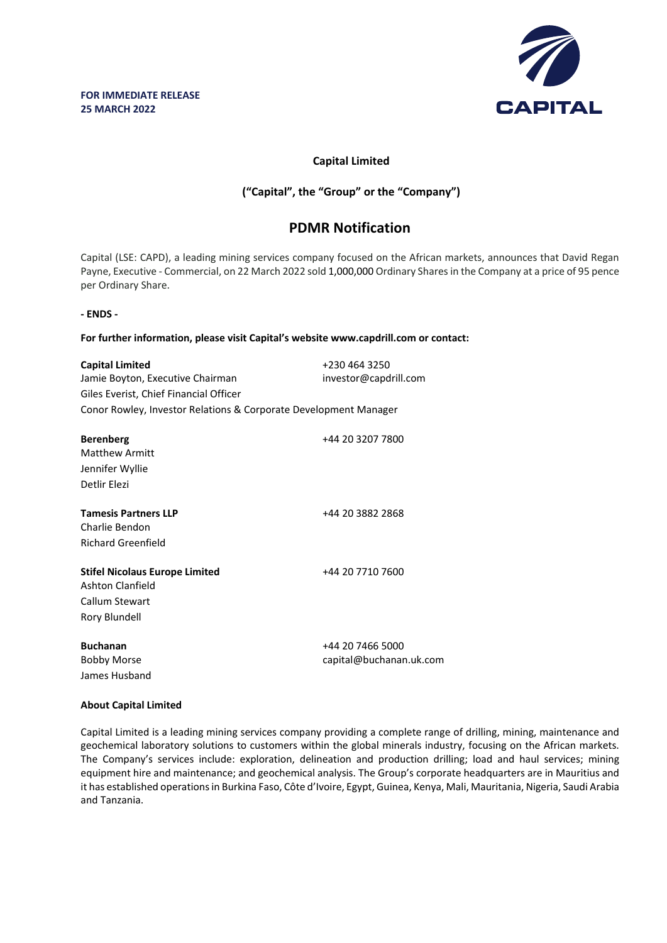

## **Capital Limited**

## **("Capital", the "Group" or the "Company")**

# **PDMR Notification**

Capital (LSE: CAPD), a leading mining services company focused on the African markets, announces that David Regan Payne, Executive - Commercial, on 22 March 2022 sold 1,000,000 Ordinary Shares in the Company at a price of 95 pence per Ordinary Share.

### **- ENDS -**

**For further information, please visit Capital's website www.capdrill.com or contact:**

| <b>Capital Limited</b>                                           | +230 464 3250                               |  |  |  |
|------------------------------------------------------------------|---------------------------------------------|--|--|--|
| Jamie Boyton, Executive Chairman                                 | investor@capdrill.com                       |  |  |  |
| Giles Everist, Chief Financial Officer                           |                                             |  |  |  |
| Conor Rowley, Investor Relations & Corporate Development Manager |                                             |  |  |  |
| <b>Berenberg</b>                                                 | +44 20 3207 7800                            |  |  |  |
| <b>Matthew Armitt</b>                                            |                                             |  |  |  |
| Jennifer Wyllie                                                  |                                             |  |  |  |
| Detlir Elezi                                                     |                                             |  |  |  |
| <b>Tamesis Partners LLP</b>                                      | +44 20 3882 2868                            |  |  |  |
| Charlie Bendon                                                   |                                             |  |  |  |
| <b>Richard Greenfield</b>                                        |                                             |  |  |  |
| <b>Stifel Nicolaus Europe Limited</b><br><b>Ashton Clanfield</b> | +44 20 7710 7600                            |  |  |  |
| Callum Stewart                                                   |                                             |  |  |  |
| Rory Blundell                                                    |                                             |  |  |  |
| <b>Buchanan</b><br><b>Bobby Morse</b><br>James Husband           | +44 20 7466 5000<br>capital@buchanan.uk.com |  |  |  |

#### **About Capital Limited**

Capital Limited is a leading mining services company providing a complete range of drilling, mining, maintenance and geochemical laboratory solutions to customers within the global minerals industry, focusing on the African markets. The Company's services include: exploration, delineation and production drilling; load and haul services; mining equipment hire and maintenance; and geochemical analysis. The Group's corporate headquarters are in Mauritius and it has established operations in Burkina Faso, Côte d'Ivoire, Egypt, Guinea, Kenya, Mali, Mauritania, Nigeria, Saudi Arabia and Tanzania.